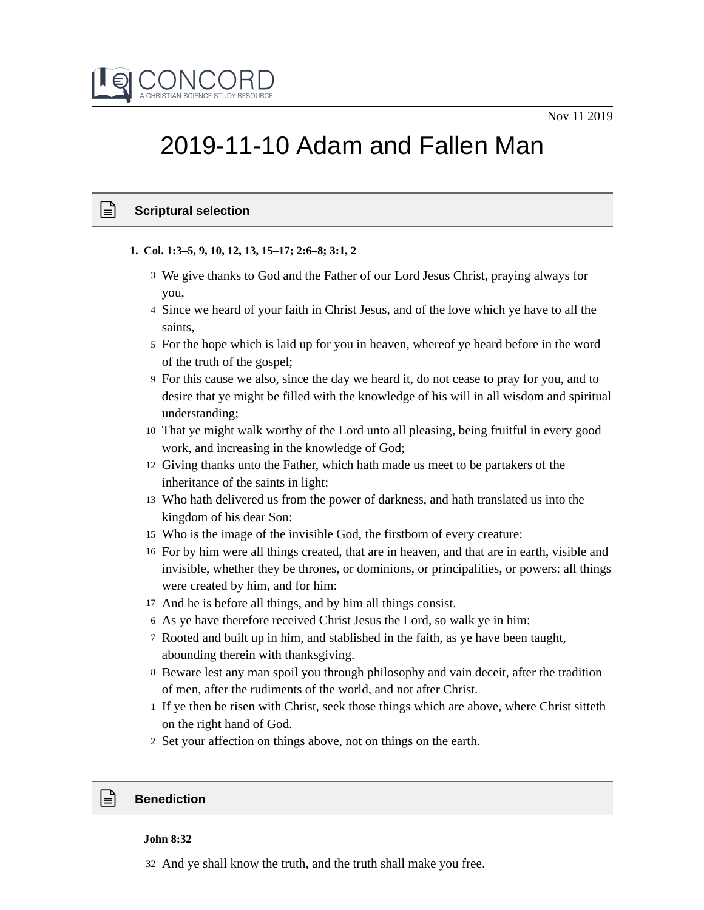

# 2019-11-10 Adam and Fallen Man

## **Scriptural selection**

- **1. Col. 1:3–5, 9, 10, 12, 13, 15–17; 2:6–8; 3:1, 2**
	- We give thanks to God and the Father of our Lord Jesus Christ, praying always for 3 you,
	- 4 Since we heard of your faith in Christ Jesus, and of the love which ye have to all the saints,
	- 5 For the hope which is laid up for you in heaven, whereof ye heard before in the word of the truth of the gospel;
	- For this cause we also, since the day we heard it, do not cease to pray for you, and to 9 desire that ye might be filled with the knowledge of his will in all wisdom and spiritual understanding;
	- That ye might walk worthy of the Lord unto all pleasing, being fruitful in every good 10 work, and increasing in the knowledge of God;
	- 12 Giving thanks unto the Father, which hath made us meet to be partakers of the inheritance of the saints in light:
	- Who hath delivered us from the power of darkness, and hath translated us into the 13 kingdom of his dear Son:
	- Who is the image of the invisible God, the firstborn of every creature: 15
	- 16 For by him were all things created, that are in heaven, and that are in earth, visible and invisible, whether they be thrones, or dominions, or principalities, or powers: all things were created by him, and for him:
	- 17 And he is before all things, and by him all things consist.
	- As ye have therefore received Christ Jesus the Lord, so walk ye in him: 6
	- Rooted and built up in him, and stablished in the faith, as ye have been taught, 7 abounding therein with thanksgiving.
	- 8 Beware lest any man spoil you through philosophy and vain deceit, after the tradition of men, after the rudiments of the world, and not after Christ.
	- 1 If ye then be risen with Christ, seek those things which are above, where Christ sitteth on the right hand of God.
	- 2 Set your affection on things above, not on things on the earth.

## **Benediction**

#### **John 8:32**

32 And ye shall know the truth, and the truth shall make you free.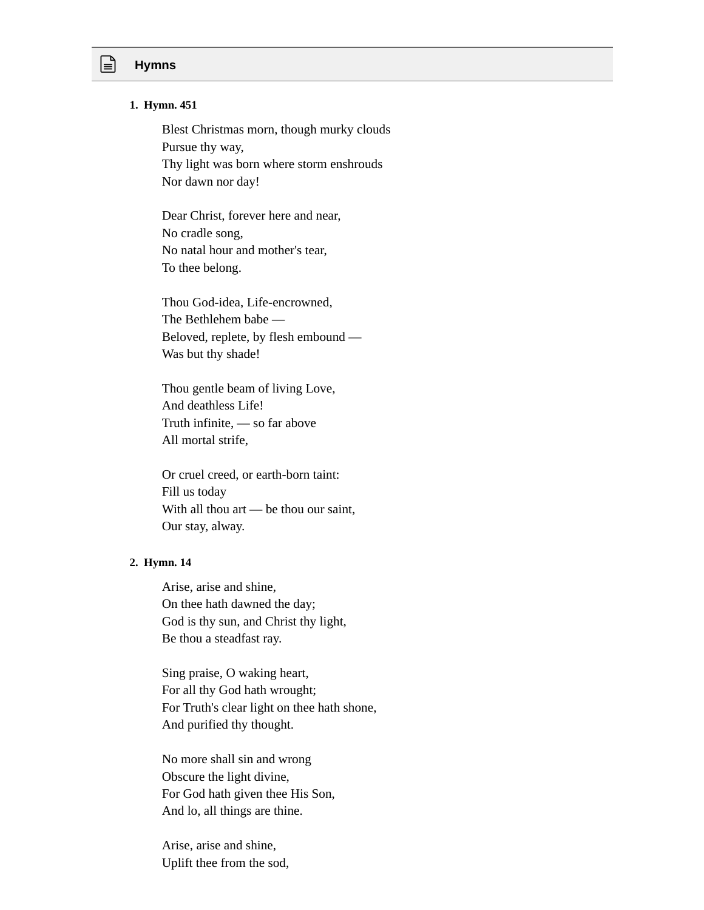# **Hymns**

#### **1. Hymn. 451**

Blest Christmas morn, though murky clouds Pursue thy way, Thy light was born where storm enshrouds Nor dawn nor day!

Dear Christ, forever here and near, No cradle song, No natal hour and mother's tear, To thee belong.

Thou God-idea, Life-encrowned, The Bethlehem babe — Beloved, replete, by flesh embound — Was but thy shade!

Thou gentle beam of living Love, And deathless Life! Truth infinite, — so far above All mortal strife,

Or cruel creed, or earth-born taint: Fill us today With all thou art — be thou our saint, Our stay, alway.

#### **2. Hymn. 14**

Arise, arise and shine, On thee hath dawned the day; God is thy sun, and Christ thy light, Be thou a steadfast ray.

Sing praise, O waking heart, For all thy God hath wrought; For Truth's clear light on thee hath shone, And purified thy thought.

No more shall sin and wrong Obscure the light divine, For God hath given thee His Son, And lo, all things are thine.

Arise, arise and shine, Uplift thee from the sod,